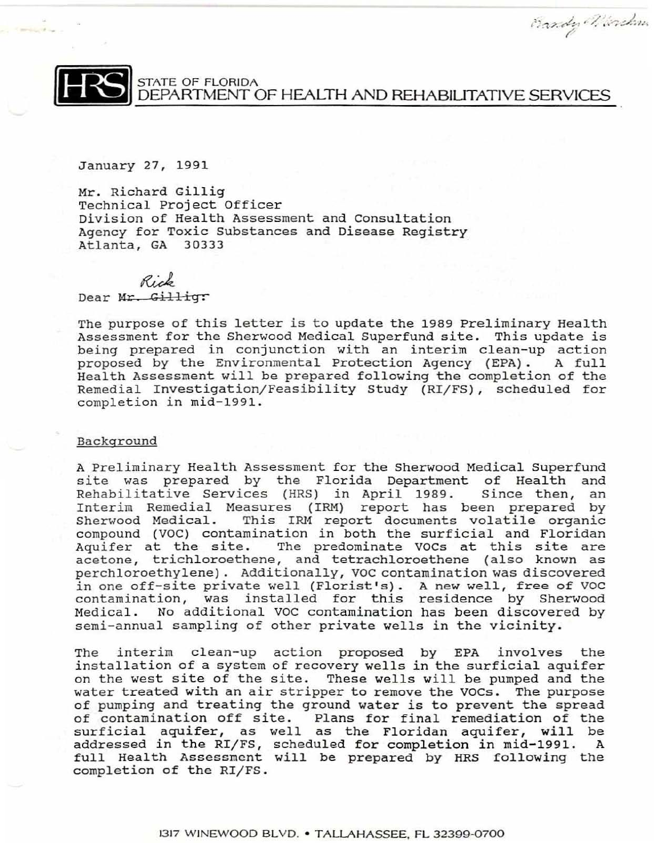Bazdy Wirdow.



**FRAME OF FLORIDA**<br>DEPARTMENT OF HEALTH AND REHABILITATIVE SERVICES

January 27, 1991

Mr. Richard Gillig Technical Project Officer Division of Health Assessment and Consultation Agency for Toxic Substances and Disease Registry Atlanta, GA 30333

Rick

Dear Mr. Gillig:

The purpose of this letter is to update the 1989 Preliminary Health Assessment for the Sherwood Medical Superfund site. This update is being prepared in conjunction with an interim clean-up action proposed by the Environmental Protection Agency (EPA). A full Health Assessment will be prepared following the completion of the Remedial Investigation/Feasibility Study (RI/FS), scheduled for completion in mid-1991.

## Background

A Preliminary Health Assessment for the Sherwood Medical Superfund site was prepared by the Florida Department of Health and<br>Rehabilitative Services (HRS) in April 1989. Since then, an Rehabilitative Services (HRS) in April 1989. Interim Remedial Measures (IRM) report has been prepared by<br>Sherwood Medical. This IRM report documents volatile organic This IRM report documents volatile organic compound (VOC) contamination in both the surficial and Floridan Aquifer at the site. The predominate VOCs at this site are acetone, trichloroethene, and tetrachloroethene (also known as perchloroethylene). Additionally, VOC contamination was discovered in one off-site private well (Florist's). A new well, free of VOC contamination, was installed for this residence by Sherwood Medical. No additional VOC contamination has been discovered by semi-annual sampling of other private wells *in* the vicinity.

The interim clean-up action proposed by EPA involves the installation of a system of recovery wells in the surficial aquifer on the west site of the site. These wells will be pumped and the water treated with an air stripper to remove the VOCs. The purpose of pumping and treating the ground water is to prevent the spread of contamination off site. Plans for final remediation of the surficial aquifer, as well as the Floridan aquifer, will be addressed in the RIfFS, scheduled for completion in mid-199l. A full Health Asseszmcnt will be prepared by HRS following the completion of the RI/FS.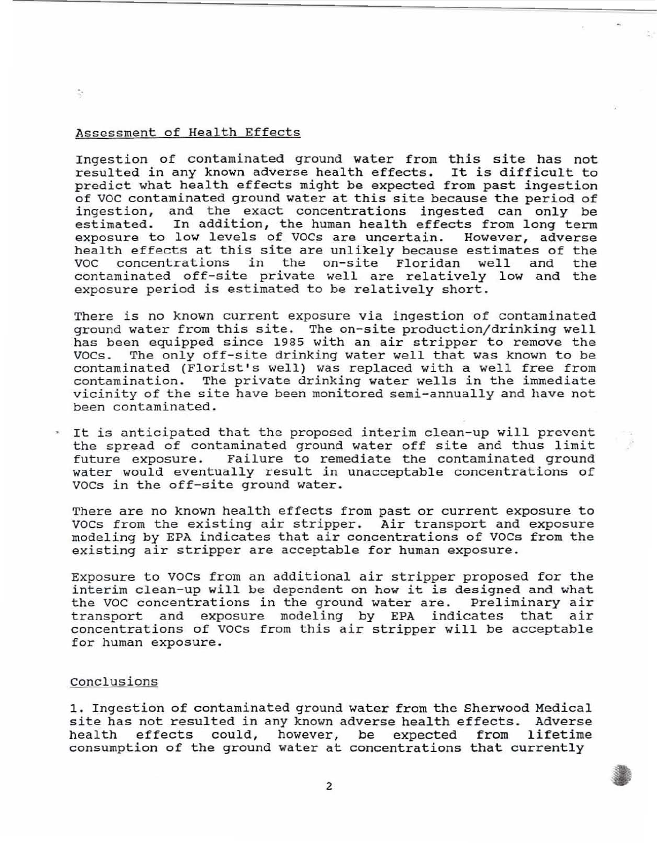## Assessment of Health Effects

 $\hat{\mathcal{A}}^*$ 

Ingestion of contaminated ground water from this site has not resulted in any known adverse health effects. It is difficult to predict what health effects might be expected from past ingestion of VOC contaminated ground water at this site because the period of ingestion, and the exact concentrations ingested can only be estimated. In addition, the human health effects from long term exposure to low levels of VOCs are uncertain. However, adverse health effects at this site are unlikely because estimates of the<br>VOC concentrations in the on-site Floridan well and the the on-site Floridan well contaminated off-site private well are relatively low and the exposure period is estimated to be relatively short.

There is no known current exposure via ingestion of contaminated ground water from this site. The on-site production/drinking well has been equipped since 1985 with an air stripper to remove the<br>VOCs. The only off-site drinking water well that was known to be The only off-site drinking water well that was known to be contaminated (Florist's well) was replaced with a well free from contamination. The private drinking water wells in the immediate vicinity of the site have been monitored semi-annually and have not been contaminated .

\* It is anticipated that the proposed interim clean-up will prevent the spread of contaminated ground water off site and thus limit future exposure. Failure to remediate the contaminated ground water would eventually result in unacceptable concentrations of VOCs in the off-site ground water.

There are no known health effects from past or current exposure to VOCs from the existing air stripper. Air transport and exposure modeling by EPA indicates that air concentrations of VOCs from the existing air stripper are acceptable for human exposure.

Exposure to VOCs from an additional air stripper proposed for the interim clean-up will be dependent on how it is designed and what the VOC concentrations in the ground water are. Preliminary air transport and exposure modeling by EPA indicates that air concentrations of VOCs from this air stripper will be acceptable for human exposure.

## Conclusions

1. Ingestion of contaminated ground water from the Sherwood Medical site has not resulted in any known adverse health effects. Adverse<br>health effects could, however, be expected from lifetime health effects could, however, be expected from consumption of the ground water at concentrations that currently

2